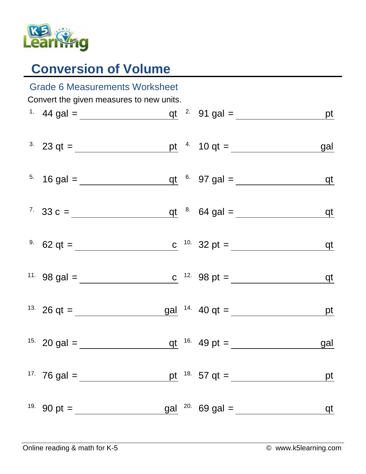

## **Conversion of Volume**

| <b>Grade 6 Measurements Worksheet</b>    |                                                     |  |  |                                                                  |            |  |  |  |  |  |
|------------------------------------------|-----------------------------------------------------|--|--|------------------------------------------------------------------|------------|--|--|--|--|--|
| Convert the given measures to new units. |                                                     |  |  |                                                                  |            |  |  |  |  |  |
|                                          |                                                     |  |  |                                                                  |            |  |  |  |  |  |
|                                          | <sup>3</sup> 23 qt = <u>pt</u> <sup>4</sup> 10 qt = |  |  |                                                                  | gal        |  |  |  |  |  |
|                                          |                                                     |  |  |                                                                  |            |  |  |  |  |  |
|                                          |                                                     |  |  |                                                                  | $q$ t      |  |  |  |  |  |
|                                          |                                                     |  |  | <sup>9.</sup> 62 qt = <u>c</u> <sup>10.</sup> 32 pt =            | <u>qt</u>  |  |  |  |  |  |
|                                          |                                                     |  |  | <sup>11.</sup> 98 gal = <u>c</u> <sup>12.</sup> 98 pt = <u>c</u> | <u>qt</u>  |  |  |  |  |  |
|                                          |                                                     |  |  |                                                                  | $p$ t      |  |  |  |  |  |
|                                          |                                                     |  |  | qt $^{16}$ 49 pt =                                               | <u>gal</u> |  |  |  |  |  |
|                                          |                                                     |  |  | pt $18.57 \text{ qt} =$                                          | pt         |  |  |  |  |  |
|                                          |                                                     |  |  | $gal$ $^{20}$ 69 gal =                                           | qt         |  |  |  |  |  |